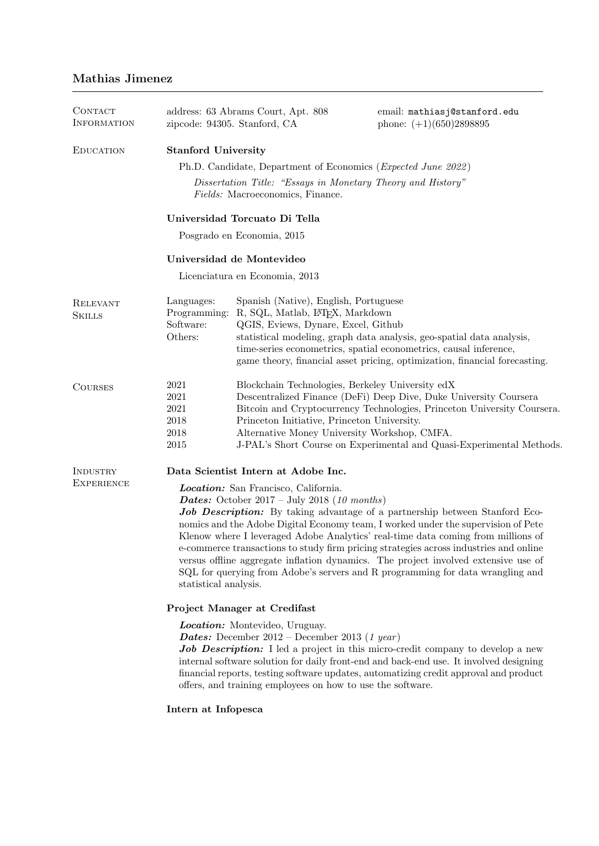# Mathias Jimenez

| CONTACT<br><b>INFORMATION</b> | zipcode: 94305. Stanford, CA                                                                                                                                                                                                                                                                                                                                                                                                                                                                                                                                                                                                                        | address: 63 Abrams Court, Apt. 808                                                                                                              | email: mathiasj@stanford.edu<br>phone: $(+1)(650)2898895$                                                                                                                                                                |  |  |  |
|-------------------------------|-----------------------------------------------------------------------------------------------------------------------------------------------------------------------------------------------------------------------------------------------------------------------------------------------------------------------------------------------------------------------------------------------------------------------------------------------------------------------------------------------------------------------------------------------------------------------------------------------------------------------------------------------------|-------------------------------------------------------------------------------------------------------------------------------------------------|--------------------------------------------------------------------------------------------------------------------------------------------------------------------------------------------------------------------------|--|--|--|
| <b>EDUCATION</b>              | <b>Stanford University</b>                                                                                                                                                                                                                                                                                                                                                                                                                                                                                                                                                                                                                          |                                                                                                                                                 |                                                                                                                                                                                                                          |  |  |  |
|                               | Ph.D. Candidate, Department of Economics ( <i>Expected June 2022</i> )                                                                                                                                                                                                                                                                                                                                                                                                                                                                                                                                                                              |                                                                                                                                                 |                                                                                                                                                                                                                          |  |  |  |
|                               | Dissertation Title: "Essays in Monetary Theory and History"<br>Fields: Macroeconomics, Finance.                                                                                                                                                                                                                                                                                                                                                                                                                                                                                                                                                     |                                                                                                                                                 |                                                                                                                                                                                                                          |  |  |  |
|                               | Universidad Torcuato Di Tella                                                                                                                                                                                                                                                                                                                                                                                                                                                                                                                                                                                                                       |                                                                                                                                                 |                                                                                                                                                                                                                          |  |  |  |
|                               | Posgrado en Economia, 2015                                                                                                                                                                                                                                                                                                                                                                                                                                                                                                                                                                                                                          |                                                                                                                                                 |                                                                                                                                                                                                                          |  |  |  |
|                               | Universidad de Montevideo                                                                                                                                                                                                                                                                                                                                                                                                                                                                                                                                                                                                                           |                                                                                                                                                 |                                                                                                                                                                                                                          |  |  |  |
|                               | Licenciatura en Economia, 2013                                                                                                                                                                                                                                                                                                                                                                                                                                                                                                                                                                                                                      |                                                                                                                                                 |                                                                                                                                                                                                                          |  |  |  |
| RELEVANT<br><b>SKILLS</b>     | Languages:<br>Programming:<br>Software:<br>Others:                                                                                                                                                                                                                                                                                                                                                                                                                                                                                                                                                                                                  | Spanish (Native), English, Portuguese<br>R, SQL, Matlab, L <sup>T</sup> FX, Markdown<br>QGIS, Eviews, Dynare, Excel, Github                     | statistical modeling, graph data analysis, geo-spatial data analysis,<br>time-series econometrics, spatial econometrics, causal inference,<br>game theory, financial asset pricing, optimization, financial forecasting. |  |  |  |
| <b>COURSES</b>                | 2021<br>2021<br>2021<br>2018<br>2018<br>2015                                                                                                                                                                                                                                                                                                                                                                                                                                                                                                                                                                                                        | Blockchain Technologies, Berkeley University edX<br>Princeton Initiative, Princeton University.<br>Alternative Money University Workshop, CMFA. | Descentralized Finance (DeFi) Deep Dive, Duke University Coursera<br>Bitcoin and Cryptocurrency Technologies, Princeton University Coursera.<br>J-PAL's Short Course on Experimental and Quasi-Experimental Methods.     |  |  |  |
| INDUSTRY                      | Data Scientist Intern at Adobe Inc.                                                                                                                                                                                                                                                                                                                                                                                                                                                                                                                                                                                                                 |                                                                                                                                                 |                                                                                                                                                                                                                          |  |  |  |
| <b>EXPERIENCE</b>             | Location: San Francisco, California.<br><b>Dates:</b> October 2017 – July 2018 (10 months)<br><b>Job Description:</b> By taking advantage of a partnership between Stanford Eco-<br>nomics and the Adobe Digital Economy team, I worked under the supervision of Pete<br>Klenow where I leveraged Adobe Analytics' real-time data coming from millions of<br>e-commerce transactions to study firm pricing strategies across industries and online<br>versus offline aggregate inflation dynamics. The project involved extensive use of<br>SQL for querying from Adobe's servers and R programming for data wrangling and<br>statistical analysis. |                                                                                                                                                 |                                                                                                                                                                                                                          |  |  |  |
|                               | Project Manager at Credifast                                                                                                                                                                                                                                                                                                                                                                                                                                                                                                                                                                                                                        |                                                                                                                                                 |                                                                                                                                                                                                                          |  |  |  |
|                               | <b>Location:</b> Montevideo, Uruguay.<br><b>Dates:</b> December 2012 – December 2013 (1 year)<br><b>Job Description:</b> I led a project in this micro-credit company to develop a new<br>internal software solution for daily front-end and back-end use. It involved designing<br>financial reports, testing software updates, automatizing credit approval and product<br>offers, and training employees on how to use the software.                                                                                                                                                                                                             |                                                                                                                                                 |                                                                                                                                                                                                                          |  |  |  |

Intern at Infopesca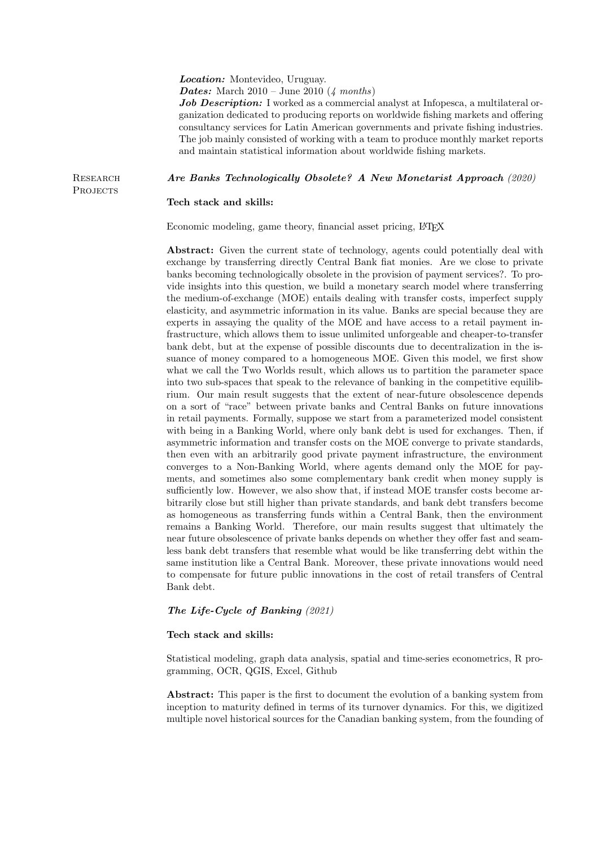#### Location: Montevideo, Uruguay.

**Dates:** March  $2010 - \text{June } 2010 \ (\text{\textit{4 months}})$ 

Job Description: I worked as a commercial analyst at Infopesca, a multilateral organization dedicated to producing reports on worldwide fishing markets and offering consultancy services for Latin American governments and private fishing industries. The job mainly consisted of working with a team to produce monthly market reports and maintain statistical information about worldwide fishing markets.

**RESEARCH** PROJECTS

## Are Banks Technologically Obsolete? A New Monetarist Approach (2020)

## Tech stack and skills:

Economic modeling, game theory, financial asset pricing, L<sup>AT</sup>FX

Abstract: Given the current state of technology, agents could potentially deal with exchange by transferring directly Central Bank fiat monies. Are we close to private banks becoming technologically obsolete in the provision of payment services?. To provide insights into this question, we build a monetary search model where transferring the medium-of-exchange (MOE) entails dealing with transfer costs, imperfect supply elasticity, and asymmetric information in its value. Banks are special because they are experts in assaying the quality of the MOE and have access to a retail payment infrastructure, which allows them to issue unlimited unforgeable and cheaper-to-transfer bank debt, but at the expense of possible discounts due to decentralization in the issuance of money compared to a homogeneous MOE. Given this model, we first show what we call the Two Worlds result, which allows us to partition the parameter space into two sub-spaces that speak to the relevance of banking in the competitive equilibrium. Our main result suggests that the extent of near-future obsolescence depends on a sort of "race" between private banks and Central Banks on future innovations in retail payments. Formally, suppose we start from a parameterized model consistent with being in a Banking World, where only bank debt is used for exchanges. Then, if asymmetric information and transfer costs on the MOE converge to private standards, then even with an arbitrarily good private payment infrastructure, the environment converges to a Non-Banking World, where agents demand only the MOE for payments, and sometimes also some complementary bank credit when money supply is sufficiently low. However, we also show that, if instead MOE transfer costs become arbitrarily close but still higher than private standards, and bank debt transfers become as homogeneous as transferring funds within a Central Bank, then the environment remains a Banking World. Therefore, our main results suggest that ultimately the near future obsolescence of private banks depends on whether they offer fast and seamless bank debt transfers that resemble what would be like transferring debt within the same institution like a Central Bank. Moreover, these private innovations would need to compensate for future public innovations in the cost of retail transfers of Central Bank debt.

#### The Life-Cycle of Banking (2021)

## Tech stack and skills:

Statistical modeling, graph data analysis, spatial and time-series econometrics, R programming, OCR, QGIS, Excel, Github

Abstract: This paper is the first to document the evolution of a banking system from inception to maturity defined in terms of its turnover dynamics. For this, we digitized multiple novel historical sources for the Canadian banking system, from the founding of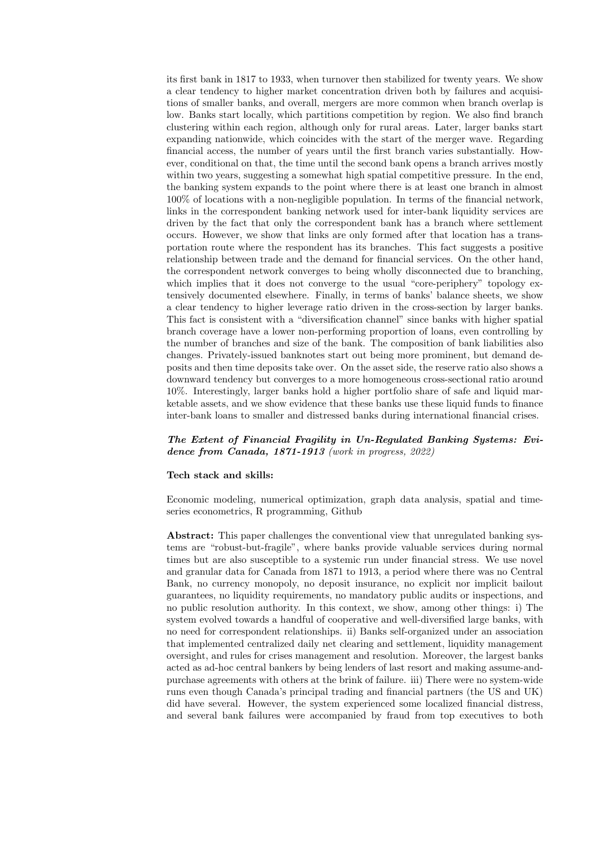its first bank in 1817 to 1933, when turnover then stabilized for twenty years. We show a clear tendency to higher market concentration driven both by failures and acquisitions of smaller banks, and overall, mergers are more common when branch overlap is low. Banks start locally, which partitions competition by region. We also find branch clustering within each region, although only for rural areas. Later, larger banks start expanding nationwide, which coincides with the start of the merger wave. Regarding financial access, the number of years until the first branch varies substantially. However, conditional on that, the time until the second bank opens a branch arrives mostly within two years, suggesting a somewhat high spatial competitive pressure. In the end, the banking system expands to the point where there is at least one branch in almost 100% of locations with a non-negligible population. In terms of the financial network, links in the correspondent banking network used for inter-bank liquidity services are driven by the fact that only the correspondent bank has a branch where settlement occurs. However, we show that links are only formed after that location has a transportation route where the respondent has its branches. This fact suggests a positive relationship between trade and the demand for financial services. On the other hand, the correspondent network converges to being wholly disconnected due to branching, which implies that it does not converge to the usual "core-periphery" topology extensively documented elsewhere. Finally, in terms of banks' balance sheets, we show a clear tendency to higher leverage ratio driven in the cross-section by larger banks. This fact is consistent with a "diversification channel" since banks with higher spatial branch coverage have a lower non-performing proportion of loans, even controlling by the number of branches and size of the bank. The composition of bank liabilities also changes. Privately-issued banknotes start out being more prominent, but demand deposits and then time deposits take over. On the asset side, the reserve ratio also shows a downward tendency but converges to a more homogeneous cross-sectional ratio around 10%. Interestingly, larger banks hold a higher portfolio share of safe and liquid marketable assets, and we show evidence that these banks use these liquid funds to finance inter-bank loans to smaller and distressed banks during international financial crises.

# The Extent of Financial Fragility in Un-Regulated Banking Systems: Evidence from Canada, 1871-1913 (work in progress, 2022)

#### Tech stack and skills:

Economic modeling, numerical optimization, graph data analysis, spatial and timeseries econometrics, R programming, Github

Abstract: This paper challenges the conventional view that unregulated banking systems are "robust-but-fragile", where banks provide valuable services during normal times but are also susceptible to a systemic run under financial stress. We use novel and granular data for Canada from 1871 to 1913, a period where there was no Central Bank, no currency monopoly, no deposit insurance, no explicit nor implicit bailout guarantees, no liquidity requirements, no mandatory public audits or inspections, and no public resolution authority. In this context, we show, among other things: i) The system evolved towards a handful of cooperative and well-diversified large banks, with no need for correspondent relationships. ii) Banks self-organized under an association that implemented centralized daily net clearing and settlement, liquidity management oversight, and rules for crises management and resolution. Moreover, the largest banks acted as ad-hoc central bankers by being lenders of last resort and making assume-andpurchase agreements with others at the brink of failure. iii) There were no system-wide runs even though Canada's principal trading and financial partners (the US and UK) did have several. However, the system experienced some localized financial distress, and several bank failures were accompanied by fraud from top executives to both